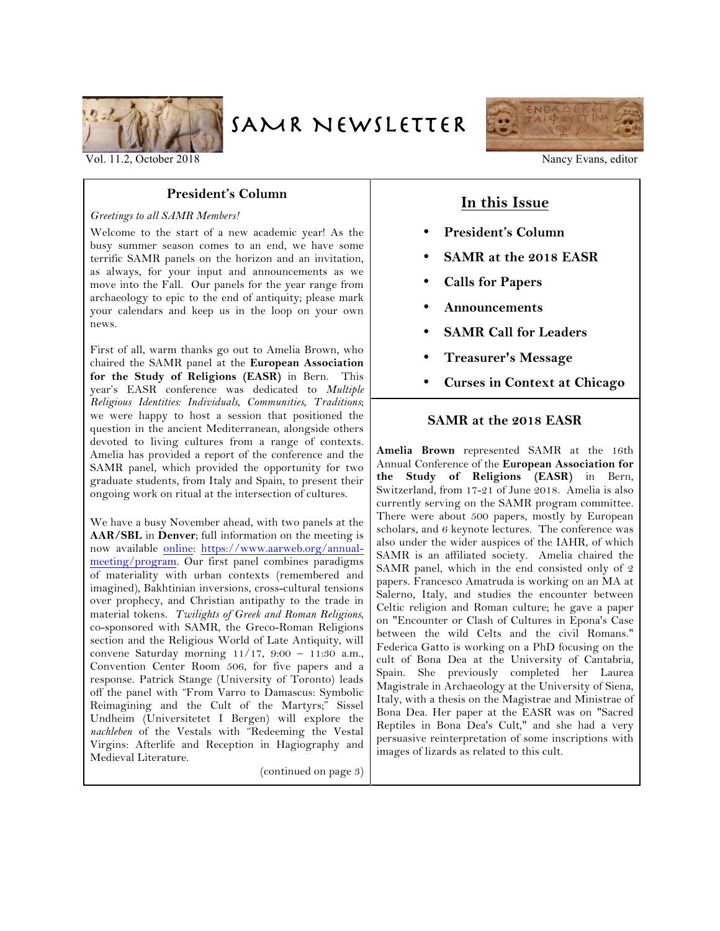

SAMR NEWSLETTER



Vol. 11.2, October 2018 Nancy Evans, editor

## **President's Column**

#### *Greetings to all SAMR Members!*

Welcome to the start of a new academic year! As the busy summer season comes to an end, we have some terrific SAMR panels on the horizon and an invitation, as always, for your input and announcements as we move into the Fall. Our panels for the year range from archaeology to epic to the end of antiquity; please mark your calendars and keep us in the loop on your own news.

First of all, warm thanks go out to Amelia Brown, who chaired the SAMR panel at the **European Association for the Study of Religions (EASR)** in Bern. This year's EASR conference was dedicated to *Multiple Religious Identities: Individuals, Communities, Traditions*; we were happy to host a session that positioned the question in the ancient Mediterranean, alongside others devoted to living cultures from a range of contexts. Amelia has provided a report of the conference and the SAMR panel, which provided the opportunity for two graduate students, from Italy and Spain, to present their ongoing work on ritual at the intersection of cultures.

We have a busy November ahead, with two panels at the **AAR/SBL** in **Denver**; full information on the meeting is now available online: https://www.aarweb.org/annualmeeting/program. Our first panel combines paradigms of materiality with urban contexts (remembered and imagined), Bakhtinian inversions, cross-cultural tensions over prophecy, and Christian antipathy to the trade in material tokens. *Twilights of Greek and Roman Religions*, co-sponsored with SAMR, the Greco-Roman Religions section and the Religious World of Late Antiquity, will convene Saturday morning 11/17, 9:00 – 11:30 a.m., Convention Center Room 506, for five papers and a response. Patrick Stange (University of Toronto) leads off the panel with "From Varro to Damascus: Symbolic Reimagining and the Cult of the Martyrs;" Sissel Undheim (Universitetet I Bergen) will explore the *nachleben* of the Vestals with "Redeeming the Vestal Virgins: Afterlife and Reception in Hagiography and Medieval Literature.

(continued on page 3)

# **In this Issue**

- **President's Column**
- **SAMR at the 2018 EASR**
- **Calls for Papers**
- **Announcements**
- **SAMR Call for Leaders**
- **Treasurer's Message**
- **Curses in Context at Chicago**

## **SAMR at the 2018 EASR**

**Amelia Brown** represented SAMR at the 16th Annual Conference of the **European Association for the Study of Religions (EASR)** in Bern, Switzerland, from 17-21 of June 2018. Amelia is also currently serving on the SAMR program committee. There were about 500 papers, mostly by European scholars, and 6 keynote lectures. The conference was also under the wider auspices of the IAHR, of which SAMR is an affiliated society. Amelia chaired the SAMR panel, which in the end consisted only of 2 papers. Francesco Amatruda is working on an MA at Salerno, Italy, and studies the encounter between Celtic religion and Roman culture; he gave a paper on "Encounter or Clash of Cultures in Epona's Case between the wild Celts and the civil Romans." Federica Gatto is working on a PhD focusing on the cult of Bona Dea at the University of Cantabria, Spain. She previously completed her Laurea Magistrale in Archaeology at the University of Siena, Italy, with a thesis on the Magistrae and Ministrae of Bona Dea. Her paper at the EASR was on "Sacred Reptiles in Bona Dea's Cult," and she had a very persuasive reinterpretation of some inscriptions with images of lizards as related to this cult.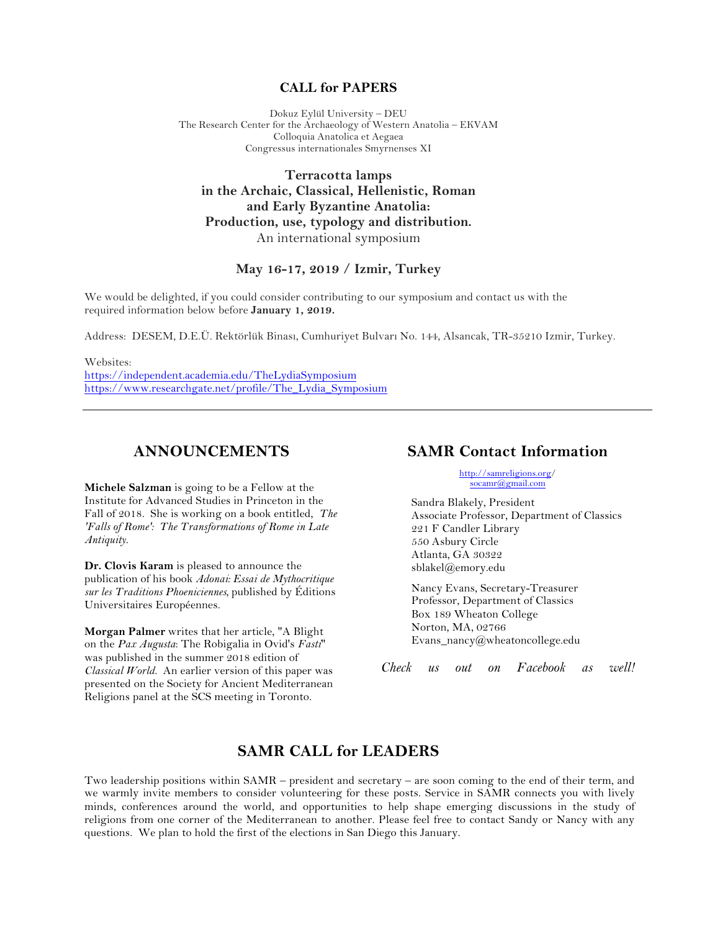#### **CALL for PAPERS**

Dokuz Eylül University – DEU The Research Center for the Archaeology of Western Anatolia – EKVAM Colloquia Anatolica et Aegaea Congressus internationales Smyrnenses XI

**Terracotta lamps in the Archaic, Classical, Hellenistic, Roman and Early Byzantine Anatolia: Production, use, typology and distribution.** An international symposium

#### **May 16-17, 2019 / Izmir, Turkey**

We would be delighted, if you could consider contributing to our symposium and contact us with the required information below before **January 1, 2019.**

Address: DESEM, D.E.Ü. Rektörlük Binası, Cumhuriyet Bulvarı No. 144, Alsancak, TR-35210 Izmir, Turkey.

Websites: https://independent.academia.edu/TheLydiaSymposium https://www.researchgate.net/profile/The\_Lydia\_Symposium

## **ANNOUNCEMENTS**

**Michele Salzman** is going to be a Fellow at the Institute for Advanced Studies in Princeton in the Fall of 2018. She is working on a book entitled, *The 'Falls of Rome': The Transformations of Rome in Late Antiquity*.

**Dr. Clovis Karam** is pleased to announce the publication of his book *Adonai: Essai de Mythocritique sur les Traditions Phoeniciennes,* published by Éditions Universitaires Européennes.

**Morgan Palmer** writes that her article, "A Blight on the *Pax Augusta*: The Robigalia in Ovid's *Fasti*" was published in the summer 2018 edition of *Classical World*. An earlier version of this paper was presented on the Society for Ancient Mediterranean Religions panel at the SCS meeting in Toronto.

## **SAMR Contact Information**

http://samreligions.org/ socamr@gmail.com

Sandra Blakely, President Associate Professor, Department of Classics 221 F Candler Library 550 Asbury Circle Atlanta, GA 30322 sblakel@emory.edu

Nancy Evans, Secretary-Treasurer Professor, Department of Classics Box 189 Wheaton College Norton, MA, 02766 Evans\_nancy@wheatoncollege.edu

*Check us out on Facebook as well!*

## **SAMR CALL for LEADERS**

Two leadership positions within SAMR – president and secretary – are soon coming to the end of their term, and we warmly invite members to consider volunteering for these posts. Service in SAMR connects you with lively minds, conferences around the world, and opportunities to help shape emerging discussions in the study of religions from one corner of the Mediterranean to another. Please feel free to contact Sandy or Nancy with any questions. We plan to hold the first of the elections in San Diego this January.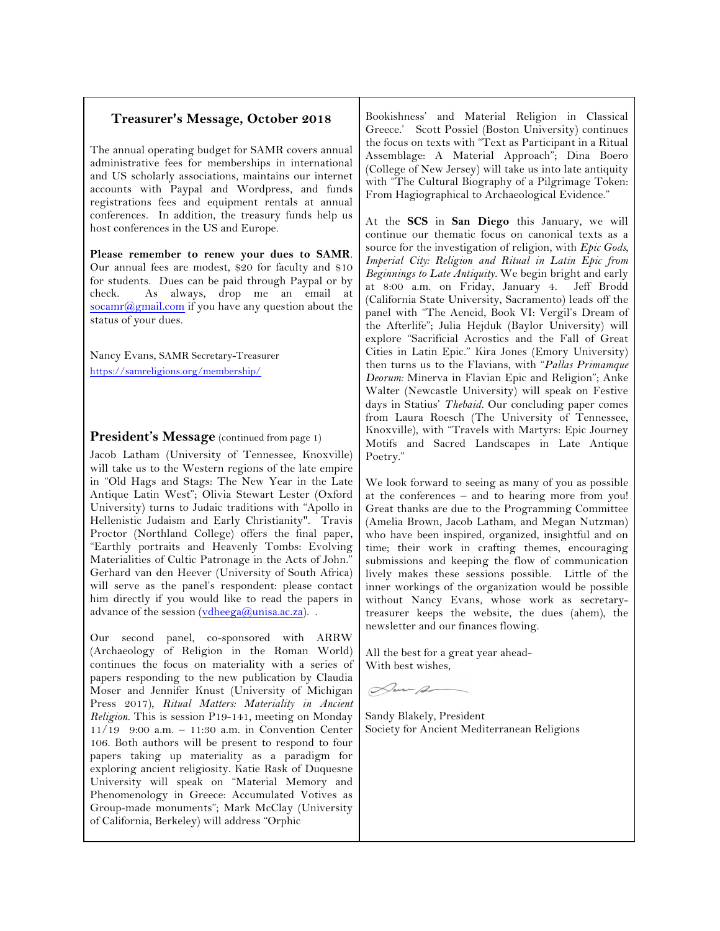#### **Treasurer's Message, October 2018**

The annual operating budget for SAMR covers annual administrative fees for memberships in international and US scholarly associations, maintains our internet accounts with Paypal and Wordpress, and funds registrations fees and equipment rentals at annual conferences. In addition, the treasury funds help us host conferences in the US and Europe.

**Please remember to renew your dues to SAMR**. Our annual fees are modest, \$20 for faculty and \$10 for students. Dues can be paid through Paypal or by check. As always, drop me an email at socamr@gmail.com if you have any question about the status of your dues.

Nancy Evans, SAMR Secretary-Treasurer https://samreligions.org/membership/

#### **President's Message** (continued from page 1)

Jacob Latham (University of Tennessee, Knoxville) will take us to the Western regions of the late empire in "Old Hags and Stags: The New Year in the Late Antique Latin West"; Olivia Stewart Lester (Oxford University) turns to Judaic traditions with "Apollo in Hellenistic Judaism and Early Christianity". Travis Proctor (Northland College) offers the final paper, "Earthly portraits and Heavenly Tombs: Evolving Materialities of Cultic Patronage in the Acts of John." Gerhard van den Heever (University of South Africa) will serve as the panel's respondent: please contact him directly if you would like to read the papers in advance of the session  $(vdheega@unisa.ac.za)$ .

Our second panel, co-sponsored with ARRW (Archaeology of Religion in the Roman World) continues the focus on materiality with a series of papers responding to the new publication by Claudia Moser and Jennifer Knust (University of Michigan Press 2017), *Ritual Matters: Materiality in Ancient Religion*. This is session P19-141, meeting on Monday 11/19 9:00 a.m. – 11:30 a.m. in Convention Center 106. Both authors will be present to respond to four papers taking up materiality as a paradigm for exploring ancient religiosity. Katie Rask of Duquesne University will speak on "Material Memory and Phenomenology in Greece: Accumulated Votives as Group-made monuments"; Mark McClay (University of California, Berkeley) will address "Orphic

Bookishness' and Material Religion in Classical Greece.' Scott Possiel (Boston University) continues the focus on texts with "Text as Participant in a Ritual Assemblage: A Material Approach"; Dina Boero (College of New Jersey) will take us into late antiquity with "The Cultural Biography of a Pilgrimage Token: From Hagiographical to Archaeological Evidence."

At the **SCS** in **San Diego** this January, we will continue our thematic focus on canonical texts as a source for the investigation of religion, with *Epic Gods, Imperial City: Religion and Ritual in Latin Epic from Beginnings to Late Antiquity.* We begin bright and early at 8:00 a.m. on Friday, January 4. (California State University, Sacramento) leads off the panel with "The Aeneid, Book VI: Vergil's Dream of the Afterlife"; Julia Hejduk (Baylor University) will explore "Sacrificial Acrostics and the Fall of Great Cities in Latin Epic." Kira Jones (Emory University) then turns us to the Flavians, with "*Pallas Primamque Deorum:* Minerva in Flavian Epic and Religion"; Anke Walter (Newcastle University) will speak on Festive days in Statius' *Thebaid.* Our concluding paper comes from Laura Roesch (The University of Tennessee, Knoxville), with "Travels with Martyrs: Epic Journey Motifs and Sacred Landscapes in Late Antique Poetry."

We look forward to seeing as many of you as possible at the conferences – and to hearing more from you! Great thanks are due to the Programming Committee (Amelia Brown, Jacob Latham, and Megan Nutzman) who have been inspired, organized, insightful and on time; their work in crafting themes, encouraging submissions and keeping the flow of communication lively makes these sessions possible. Little of the inner workings of the organization would be possible without Nancy Evans, whose work as secretarytreasurer keeps the website, the dues (ahem), the newsletter and our finances flowing.

All the best for a great year ahead-With best wishes,

Don-p

Sandy Blakely, President Society for Ancient Mediterranean Religions